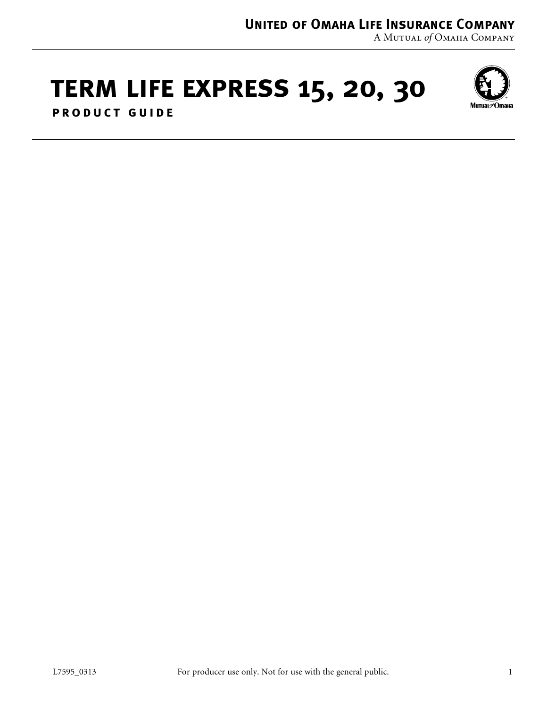A Mutual *of* Omaha Company

# **term life express 15, 20, 30**



**product guide**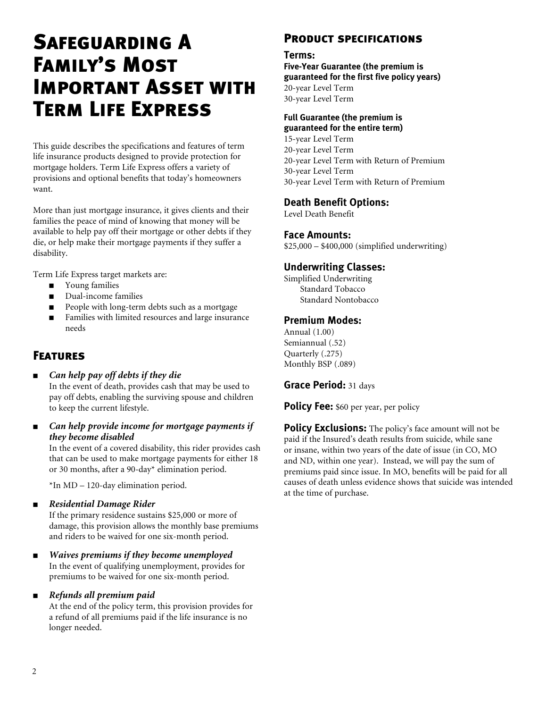## Safeguarding A Family's Most Important Asset with Term Life Express

This guide describes the specifications and features of term life insurance products designed to provide protection for mortgage holders. Term Life Express offers a variety of provisions and optional benefits that today's homeowners want.

More than just mortgage insurance, it gives clients and their families the peace of mind of knowing that money will be available to help pay off their mortgage or other debts if they die, or help make their mortgage payments if they suffer a disability.

Term Life Express target markets are:

- **n** Young families
- Dual-income families
- People with long-term debts such as a mortgage
- $\blacksquare$  Families with limited resources and large insurance needs

## Features

- <sup>n</sup> *Can help pay off debts if they die* In the event of death, provides cash that may be used to pay off debts, enabling the surviving spouse and children to keep the current lifestyle.
- Can help provide income for mortgage payments if *they become disabled*

In the event of a covered disability, this rider provides cash that can be used to make mortgage payments for either 18 or 30 months, after a 90-day\* elimination period.

\*In MD – 120-day elimination period.

<sup>n</sup> *Residential Damage Rider*

If the primary residence sustains \$25,000 or more of damage, this provision allows the monthly base premiums and riders to be waived for one six-month period.

<sup>n</sup> *Waives premiums if they become unemployed* In the event of qualifying unemployment, provides for premiums to be waived for one six-month period.

## <sup>n</sup> *Refunds all premium paid*

At the end of the policy term, this provision provides for a refund of all premiums paid if the life insurance is no longer needed.

## Product specifications

#### **Terms:**

**Five-Year Guarantee (the premium is guaranteed for the first five policy years)** 20-year Level Term 30-year Level Term

## **Full Guarantee (the premium is**

**guaranteed for the entire term)** 15-year Level Term 20-year Level Term 20-year Level Term with Return of Premium 30-year Level Term 30-year Level Term with Return of Premium

## **Death Benefit Options:**

Level Death Benefit

## **Face Amounts:**

\$25,000 – \$400,000 (simplified underwriting)

## **Underwriting Classes:**

Simplified Underwriting Standard Tobacco Standard Nontobacco

## **Premium Modes:**

Annual (1.00) Semiannual (.52) Quarterly (.275) Monthly BSP (.089)

## **Grace Period:** 31 days

**Policy Fee:** \$60 per year, per policy

**Policy Exclusions:** The policy's face amount will not be paid if the Insured's death results from suicide, while sane or insane, within two years of the date of issue (in CO, MO and ND, within one year). Instead, we will pay the sum of premiums paid since issue. In MO, benefits will be paid for all causes of death unless evidence shows that suicide was intended at the time of purchase.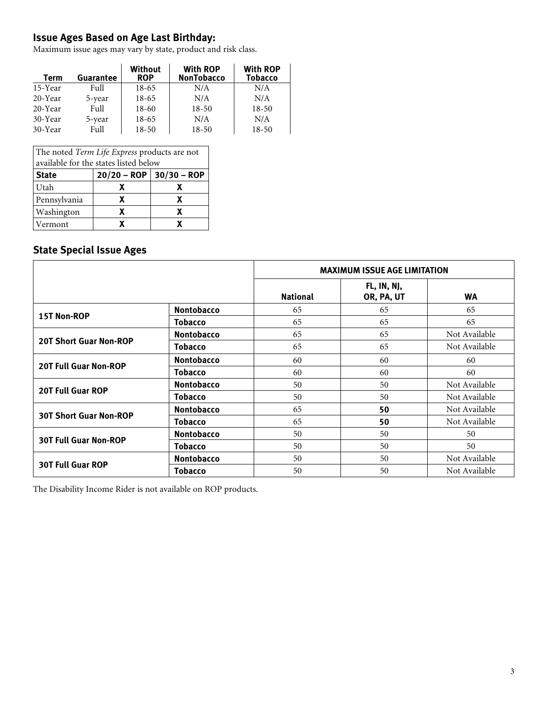## **Issue Ages Based on Age Last Birthday:**

Maximum issue ages may vary by state, product and risk class.

| Term    | Guarantee | <b>Without</b><br><b>ROP</b> | <b>With ROP</b><br><b>NonTobacco</b> | <b>With ROP</b><br><b>Tobacco</b> |
|---------|-----------|------------------------------|--------------------------------------|-----------------------------------|
| 15-Year | Full      | 18-65                        | N/A                                  | N/A                               |
| 20-Year | 5-year    | 18-65                        | N/A                                  | N/A                               |
| 20-Year | Full      | 18-60                        | $18 - 50$                            | 18-50                             |
| 30-Year | 5-year    | 18-65                        | N/A                                  | N/A                               |
| 30-Year | Full      | $18 - 50$                    | $18 - 50$                            | $18 - 50$                         |

| The noted Term Life Express products are not<br>available for the states listed below |   |                           |  |  |
|---------------------------------------------------------------------------------------|---|---------------------------|--|--|
| <b>State</b>                                                                          |   | $20/20 - ROP$ 30/30 - ROP |  |  |
| Utah                                                                                  | x | x                         |  |  |
| Pennsylvania                                                                          | x | x                         |  |  |
| Washington                                                                            | x | x                         |  |  |
| Vermont                                                                               |   |                           |  |  |

## **State Special Issue Ages**

|                               |                   | <b>MAXIMUM ISSUE AGE LIMITATION</b> |                           |               |
|-------------------------------|-------------------|-------------------------------------|---------------------------|---------------|
|                               |                   | <b>National</b>                     | FL, IN, NJ,<br>OR, PA, UT | <b>WA</b>     |
| <b>15T Non-ROP</b>            | <b>Nontobacco</b> | 65                                  | 65                        | 65            |
|                               | <b>Tobacco</b>    | 65                                  | 65                        | 65            |
| <b>20T Short Guar Non-ROP</b> | <b>Nontobacco</b> | 65                                  | 65                        | Not Available |
|                               | <b>Tobacco</b>    | 65                                  | 65                        | Not Available |
|                               | <b>Nontobacco</b> | 60                                  | 60                        | 60            |
| <b>20T Full Guar Non-ROP</b>  | <b>Tobacco</b>    | 60                                  | 60                        | 60            |
|                               | <b>Nontobacco</b> | 50                                  | 50                        | Not Available |
| <b>20T Full Guar ROP</b>      | <b>Tobacco</b>    | 50                                  | 50                        | Not Available |
| <b>30T Short Guar Non-ROP</b> | <b>Nontobacco</b> | 65                                  | 50                        | Not Available |
|                               | <b>Tobacco</b>    | 65                                  | 50                        | Not Available |
| <b>30T Full Guar Non-ROP</b>  | <b>Nontobacco</b> | 50                                  | 50                        | 50            |
|                               | <b>Tobacco</b>    | 50                                  | 50                        | 50            |
| <b>30T Full Guar ROP</b>      | <b>Nontobacco</b> | 50                                  | 50                        | Not Available |
|                               | <b>Tobacco</b>    | 50                                  | 50                        | Not Available |

The Disability Income Rider is not available on ROP products.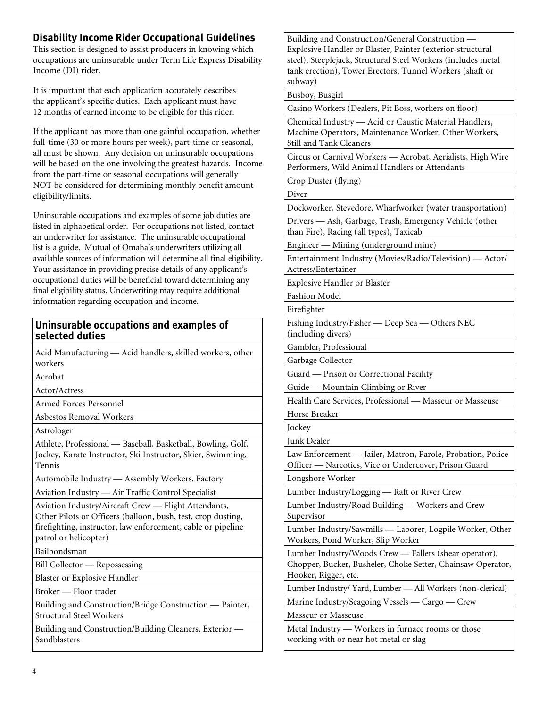## **Disability Income Rider Occupational Guidelines**

This section is designed to assist producers in knowing which occupations are uninsurable under Term Life Express Disability Income (DI) rider.

It is important that each application accurately describes the applicant's specific duties. Each applicant must have 12 months of earned income to be eligible for this rider.

If the applicant has more than one gainful occupation, whether full-time (30 or more hours per week), part-time or seasonal, all must be shown. Any decision on uninsurable occupations will be based on the one involving the greatest hazards. Income from the part-time or seasonal occupations will generally NOT be considered for determining monthly benefit amount eligibility/limits.

Uninsurable occupations and examples of some job duties are listed in alphabetical order. For occupations not listed, contact an underwriter for assistance. The uninsurable occupational list is a guide. Mutual of Omaha's underwriters utilizing all available sources of information will determine all final eligibility. Your assistance in providing precise details of any applicant's occupational duties will be beneficial toward determining any final eligibility status. Underwriting may require additional information regarding occupation and income.

## **Uninsurable occupations and examples of selected duties**

Acid Manufacturing — Acid handlers, skilled workers, other workers

Acrobat

Actor/Actress

Armed Forces Personnel

Asbestos Removal Workers

Astrologer

Athlete, Professional — Baseball, Basketball, Bowling, Golf, Jockey, Karate Instructor, Ski Instructor, Skier, Swimming, Tennis

Automobile Industry — Assembly Workers, Factory

Aviation Industry — Air Traffic Control Specialist

Aviation Industry/Aircraft Crew — Flight Attendants, Other Pilots or Officers (balloon, bush, test, crop dusting, firefighting, instructor, law enforcement, cable or pipeline patrol or helicopter)

Bailbondsman

Bill Collector — Repossessing

Blaster or Explosive Handler

Broker — Floor trader

Building and Construction/Bridge Construction — Painter, Structural Steel Workers

Building and Construction/Building Cleaners, Exterior — Sandblasters

Building and Construction/General Construction — Explosive Handler or Blaster, Painter (exterior-structural steel), Steeplejack, Structural Steel Workers (includes metal tank erection), Tower Erectors, Tunnel Workers (shaft or subway)

Busboy, Busgirl

Casino Workers (Dealers, Pit Boss, workers on floor)

Chemical Industry — Acid or Caustic Material Handlers, Machine Operators, Maintenance Worker, Other Workers, Still and Tank Cleaners

Circus or Carnival Workers — Acrobat, Aerialists, High Wire Performers, Wild Animal Handlers or Attendants

Crop Duster (flying)

Diver

Dockworker, Stevedore, Wharfworker (water transportation)

Drivers — Ash, Garbage, Trash, Emergency Vehicle (other than Fire), Racing (all types), Taxicab

Engineer — Mining (underground mine)

Entertainment Industry (Movies/Radio/Television) — Actor/ Actress/Entertainer

Explosive Handler or Blaster

Fashion Model

Firefighter

Fishing Industry/Fisher — Deep Sea — Others NEC (including divers)

Gambler, Professional

Garbage Collector

Guard — Prison or Correctional Facility

Guide — Mountain Climbing or River

Health Care Services, Professional — Masseur or Masseuse

Horse Breaker

Jockey

Junk Dealer

Law Enforcement — Jailer, Matron, Parole, Probation, Police Officer — Narcotics, Vice or Undercover, Prison Guard

Longshore Worker

Lumber Industry/Logging — Raft or River Crew

Lumber Industry/Road Building — Workers and Crew Supervisor

Lumber Industry/Sawmills — Laborer, Logpile Worker, Other Workers, Pond Worker, Slip Worker

Lumber Industry/Woods Crew — Fallers (shear operator), Chopper, Bucker, Busheler, Choke Setter, Chainsaw Operator, Hooker, Rigger, etc.

Lumber Industry/ Yard, Lumber — All Workers (non-clerical)

Marine Industry/Seagoing Vessels — Cargo — Crew

Masseur or Masseuse

Metal Industry — Workers in furnace rooms or those working with or near hot metal or slag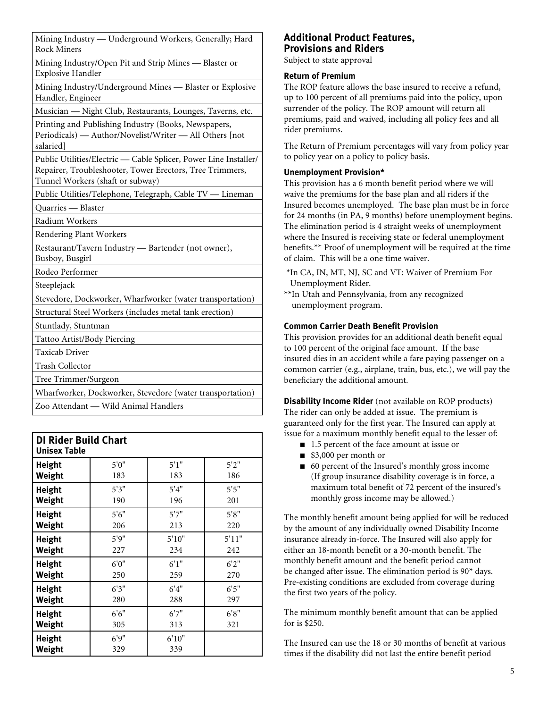| Mining Industry — Underground Workers, Generally; Hard<br><b>Rock Miners</b>                                                                                     |
|------------------------------------------------------------------------------------------------------------------------------------------------------------------|
| Mining Industry/Open Pit and Strip Mines - Blaster or<br><b>Explosive Handler</b>                                                                                |
| Mining Industry/Underground Mines - Blaster or Explosive<br>Handler, Engineer                                                                                    |
| Musician - Night Club, Restaurants, Lounges, Taverns, etc.                                                                                                       |
| Printing and Publishing Industry (Books, Newspapers,<br>Periodicals) — Author/Novelist/Writer — All Others [not<br>salaried]                                     |
| Public Utilities/Electric — Cable Splicer, Power Line Installer/<br>Repairer, Troubleshooter, Tower Erectors, Tree Trimmers,<br>Tunnel Workers (shaft or subway) |
| Public Utilities/Telephone, Telegraph, Cable TV - Lineman                                                                                                        |
| Quarries - Blaster                                                                                                                                               |
| Radium Workers                                                                                                                                                   |
| Rendering Plant Workers                                                                                                                                          |
| Restaurant/Tavern Industry - Bartender (not owner),<br>Busboy, Busgirl                                                                                           |
| Rodeo Performer                                                                                                                                                  |
| Steeplejack                                                                                                                                                      |
| Stevedore, Dockworker, Wharfworker (water transportation)                                                                                                        |
| Structural Steel Workers (includes metal tank erection)                                                                                                          |
| Stuntlady, Stuntman                                                                                                                                              |
| Tattoo Artist/Body Piercing                                                                                                                                      |
| Taxicab Driver                                                                                                                                                   |
| Trash Collector                                                                                                                                                  |
| Tree Trimmer/Surgeon                                                                                                                                             |
| Wharfworker, Dockworker, Stevedore (water transportation)                                                                                                        |
| Zoo Attendant - Wild Animal Handlers                                                                                                                             |

| <b>DI Rider Build Chart</b><br><b>Unisex Table</b> |       |        |       |  |  |
|----------------------------------------------------|-------|--------|-------|--|--|
| <b>Height</b>                                      | 5'0'' | 5'1''  | 5'2'' |  |  |
| Weight                                             | 183   | 183    | 186   |  |  |
| <b>Height</b>                                      | 5'3'' | 5'4''  | 5'5'' |  |  |
| Weight                                             | 190   | 196    | 201   |  |  |
| <b>Height</b>                                      | 5'6'' | 5'7''  | 5'8'' |  |  |
| Weight                                             | 206   | 213    | 220   |  |  |
| <b>Height</b>                                      | 5'9'' | 5'10'' | 5'11" |  |  |
| Weight                                             | 227   | 234    | 242   |  |  |
| <b>Height</b>                                      | 6'0'' | 6'1''  | 6'2'' |  |  |
| Weight                                             | 250   | 259    | 270   |  |  |
| <b>Height</b>                                      | 6'3'' | 6'4''  | 6'5'' |  |  |
| Weight                                             | 280   | 288    | 297   |  |  |
| <b>Height</b>                                      | 6'6'' | 6'7''  | 6'8'' |  |  |
| Weight                                             | 305   | 313    | 321   |  |  |
| <b>Height</b>                                      | 6'9"  | 6'10"  |       |  |  |
| Weight                                             | 329   | 339    |       |  |  |

## **Additional Product Features, Provisions and Riders**

Subject to state approval

#### **Return of Premium**

The ROP feature allows the base insured to receive a refund, up to 100 percent of all premiums paid into the policy, upon surrender of the policy. The ROP amount will return all premiums, paid and waived, including all policy fees and all rider premiums.

The Return of Premium percentages will vary from policy year to policy year on a policy to policy basis.

## **Unemployment Provision\***

This provision has a 6 month benefit period where we will waive the premiums for the base plan and all riders if the Insured becomes unemployed. The base plan must be in force for 24 months (in PA, 9 months) before unemployment begins. The elimination period is 4 straight weeks of unemployment where the Insured is receiving state or federal unemployment benefits.\*\* Proof of unemployment will be required at the time of claim. This will be a one time waiver.

- \*In CA, IN, MT, NJ, SC and VT: Waiver of Premium For Unemployment Rider.
- \*\*In Utah and Pennsylvania, from any recognized unemployment program.

## **Common Carrier Death Benefit Provision**

This provision provides for an additional death benefit equal to 100 percent of the original face amount. If the base insured dies in an accident while a fare paying passenger on a common carrier (e.g., airplane, train, bus, etc.), we will pay the beneficiary the additional amount.

**Disability Income Rider** (not available on ROP products) The rider can only be added at issue. The premium is guaranteed only for the first year. The Insured can apply at issue for a maximum monthly benefit equal to the lesser of:

- 1.5 percent of the face amount at issue or
- $\blacksquare$  \$3,000 per month or
- 60 percent of the Insured's monthly gross income (If group insurance disability coverage is in force, a maximum total benefit of 72 percent of the insured's monthly gross income may be allowed.)

The monthly benefit amount being applied for will be reduced by the amount of any individually owned Disability Income insurance already in-force. The Insured will also apply for either an 18-month benefit or a 30-month benefit. The monthly benefit amount and the benefit period cannot be changed after issue. The elimination period is 90\* days. Pre-existing conditions are excluded from coverage during the first two years of the policy.

The minimum monthly benefit amount that can be applied for is \$250.

The Insured can use the 18 or 30 months of benefit at various times if the disability did not last the entire benefit period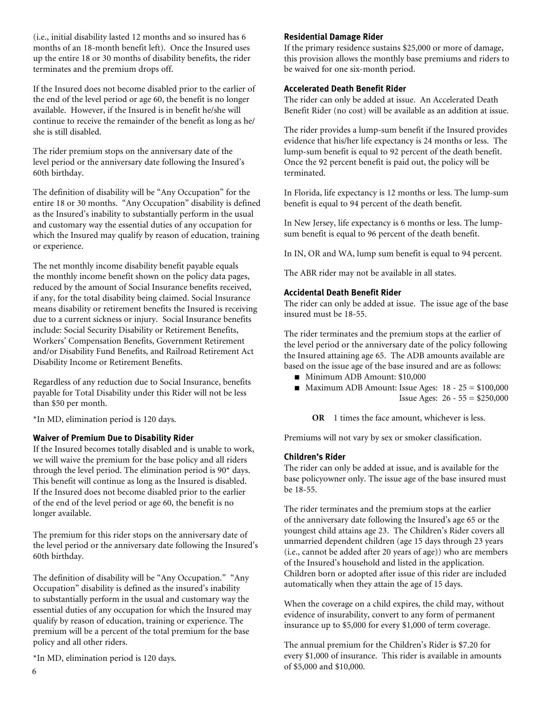(i.e., initial disability lasted 12 months and so insured has 6 months of an 18-month benefit left). Once the Insured uses up the entire 18 or 30 months of disability benefits, the rider terminates and the premium drops off.

If the Insured does not become disabled prior to the earlier of the end of the level period or age 60, the benefit is no longer available. However, if the Insured is in benefit he/she will continue to receive the remainder of the benefit as long as he/ she is still disabled.

The rider premium stops on the anniversary date of the level period or the anniversary date following the Insured's 60th birthday.

The definition of disability will be "Any Occupation" for the entire 18 or 30 months. "Any Occupation" disability is defined as the Insured's inability to substantially perform in the usual and customary way the essential duties of any occupation for which the Insured may qualify by reason of education, training or experience.

The net monthly income disability benefit payable equals the monthly income benefit shown on the policy data pages, reduced by the amount of Social Insurance benefits received, if any, for the total disability being claimed. Social Insurance means disability or retirement benefits the Insured is receiving due to a current sickness or injury. Social Insurance benefits include: Social Security Disability or Retirement Benefits, Workers' Compensation Benefits, Government Retirement and/or Disability Fund Benefits, and Railroad Retirement Act Disability Income or Retirement Benefits.

Regardless of any reduction due to Social Insurance, benefits payable for Total Disability under this Rider will not be less than \$50 per month.

\*In MD, elimination period is 120 days.

## **Waiver of Premium Due to Disability Rider**

If the Insured becomes totally disabled and is unable to work, we will waive the premium for the base policy and all riders through the level period. The elimination period is 90\* days. This benefit will continue as long as the Insured is disabled. If the Insured does not become disabled prior to the earlier of the end of the level period or age 60, the benefit is no longer available.

The premium for this rider stops on the anniversary date of the level period or the anniversary date following the Insured's 60th birthday.

The definition of disability will be "Any Occupation." "Any Occupation" disability is defined as the insured's inability to substantially perform in the usual and customary way the essential duties of any occupation for which the Insured may qualify by reason of education, training or experience. The premium will be a percent of the total premium for the base policy and all other riders.

\*In MD, elimination period is 120 days.

#### **Residential Damage Rider**

If the primary residence sustains \$25,000 or more of damage, this provision allows the monthly base premiums and riders to be waived for one six-month period.

## **Accelerated Death Benefit Rider**

The rider can only be added at issue. An Accelerated Death Benefit Rider (no cost) will be available as an addition at issue.

The rider provides a lump-sum benefit if the Insured provides evidence that his/her life expectancy is 24 months or less. The lump-sum benefit is equal to 92 percent of the death benefit. Once the 92 percent benefit is paid out, the policy will be terminated.

In Florida, life expectancy is 12 months or less. The lump-sum benefit is equal to 94 percent of the death benefit.

In New Jersey, life expectancy is 6 months or less. The lumpsum benefit is equal to 96 percent of the death benefit.

In IN, OR and WA, lump sum benefit is equal to 94 percent.

The ABR rider may not be available in all states.

## **Accidental Death Benefit Rider**

The rider can only be added at issue. The issue age of the base insured must be 18-55.

The rider terminates and the premium stops at the earlier of the level period or the anniversary date of the policy following the Insured attaining age 65. The ADB amounts available are based on the issue age of the base insured and are as follows:

- Minimum ADB Amount: \$10,000
- $\blacksquare$  Maximum ADB Amount: Issue Ages: 18 25 = \$100,000 Issue Ages:  $26 - 55 = $250,000$

**OR** 1 times the face amount, whichever is less.

Premiums will not vary by sex or smoker classification.

## **Children's Rider**

The rider can only be added at issue, and is available for the base policyowner only. The issue age of the base insured must be 18-55.

The rider terminates and the premium stops at the earlier of the anniversary date following the Insured's age 65 or the youngest child attains age 23. The Children's Rider covers all unmarried dependent children (age 15 days through 23 years (i.e., cannot be added after 20 years of age)) who are members of the Insured's household and listed in the application. Children born or adopted after issue of this rider are included automatically when they attain the age of 15 days.

When the coverage on a child expires, the child may, without evidence of insurability, convert to any form of permanent insurance up to \$5,000 for every \$1,000 of term coverage.

The annual premium for the Children's Rider is \$7.20 for every \$1,000 of insurance. This rider is available in amounts of \$5,000 and \$10,000. <sup>6</sup>